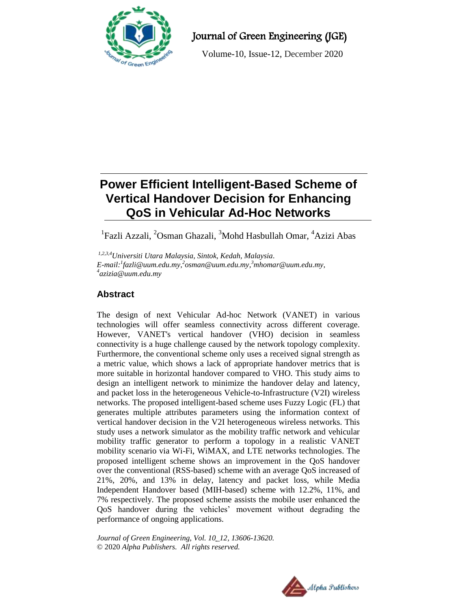

Journal of Green Engineering (JGE)

Volume-10, Issue-12, December 2020

# **Power Efficient Intelligent-Based Scheme of Vertical Handover Decision for Enhancing QoS in Vehicular Ad-Hoc Networks**

<sup>1</sup>Fazli Azzali, <sup>2</sup>Osman Ghazali, <sup>3</sup>Mohd Hasbullah Omar, <sup>4</sup>Azizi Abas

*1,2,3,4Universiti Utara Malaysia, Sintok, Kedah, Malaysia. E-mail:<sup>1</sup> [fazli@uum.edu.my,](mailto:1fazli@uum.edu.my) 2 [osman@uum.edu.my,](mailto:2osman@uum.edu.my) <sup>3</sup>mhomar@uum.edu.my, 4 azizia@uum.edu.my*

## **Abstract**

The design of next Vehicular Ad-hoc Network (VANET) in various technologies will offer seamless connectivity across different coverage. However, VANET's vertical handover (VHO) decision in seamless connectivity is a huge challenge caused by the network topology complexity. Furthermore, the conventional scheme only uses a received signal strength as a metric value, which shows a lack of appropriate handover metrics that is more suitable in horizontal handover compared to VHO. This study aims to design an intelligent network to minimize the handover delay and latency, and packet loss in the heterogeneous Vehicle-to-Infrastructure (V2I) wireless networks. The proposed intelligent-based scheme uses Fuzzy Logic (FL) that generates multiple attributes parameters using the information context of vertical handover decision in the V2I heterogeneous wireless networks. This study uses a network simulator as the mobility traffic network and vehicular mobility traffic generator to perform a topology in a realistic VANET mobility scenario via Wi-Fi, WiMAX, and LTE networks technologies. The proposed intelligent scheme shows an improvement in the QoS handover over the conventional (RSS-based) scheme with an average QoS increased of 21%, 20%, and 13% in delay, latency and packet loss, while Media Independent Handover based (MIH-based) scheme with 12.2%, 11%, and 7% respectively. The proposed scheme assists the mobile user enhanced the QoS handover during the vehicles' movement without degrading the performance of ongoing applications.

*Journal of Green Engineering, Vol. 10\_12, 13606-13620.* © 2020 *Alpha Publishers. All rights reserved.*

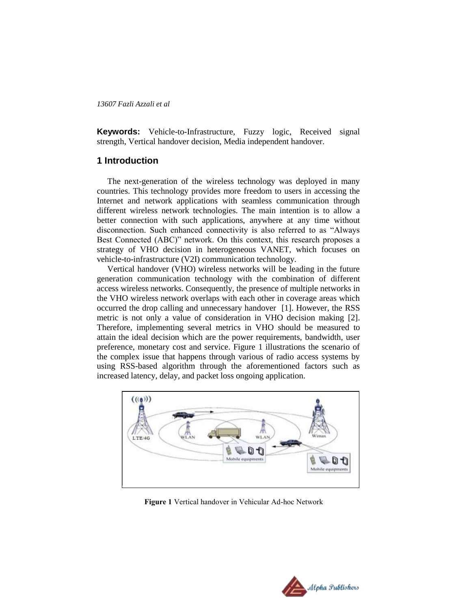**Keywords:** Vehicle-to-Infrastructure, Fuzzy logic, Received signal strength, Vertical handover decision, Media independent handover.

### **1 Introduction**

The next-generation of the wireless technology was deployed in many countries. This technology provides more freedom to users in accessing the Internet and network applications with seamless communication through different wireless network technologies. The main intention is to allow a better connection with such applications, anywhere at any time without disconnection. Such enhanced connectivity is also referred to as "Always Best Connected (ABC)" network. On this context, this research proposes a strategy of VHO decision in heterogeneous VANET, which focuses on vehicle-to-infrastructure (V2I) communication technology.

Vertical handover (VHO) wireless networks will be leading in the future generation communication technology with the combination of different access wireless networks. Consequently, the presence of multiple networks in the VHO wireless network overlaps with each other in coverage areas which occurred the drop calling and unnecessary handover [1]. However, the RSS metric is not only a value of consideration in VHO decision making [2]. Therefore, implementing several metrics in VHO should be measured to attain the ideal decision which are the power requirements, bandwidth, user preference, monetary cost and service. Figure 1 illustrations the scenario of the complex issue that happens through various of radio access systems by using RSS-based algorithm through the aforementioned factors such as increased latency, delay, and packet loss ongoing application.



**Figure 1** Vertical handover in Vehicular Ad-hoc Network

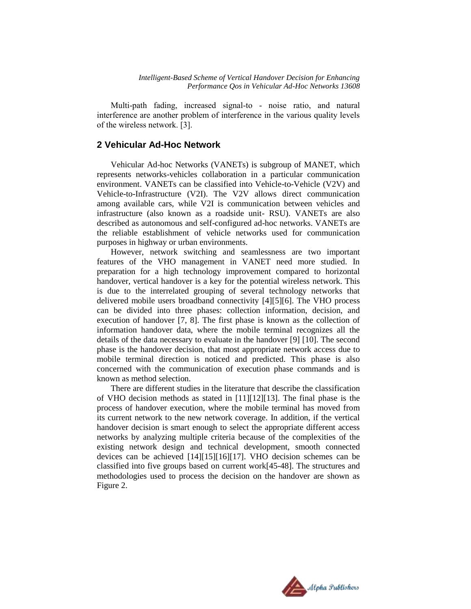Multi-path fading, increased signal-to - noise ratio, and natural interference are another problem of interference in the various quality levels of the wireless network. [3].

## **2 Vehicular Ad-Hoc Network**

Vehicular Ad-hoc Networks (VANETs) is subgroup of MANET, which represents networks-vehicles collaboration in a particular communication environment. VANETs can be classified into Vehicle-to-Vehicle (V2V) and Vehicle-to-Infrastructure (V2I). The V2V allows direct communication among available cars, while V2I is communication between vehicles and infrastructure (also known as a roadside unit- RSU). VANETs are also described as autonomous and self-configured ad-hoc networks. VANETs are the reliable establishment of vehicle networks used for communication purposes in highway or urban environments.

However, network switching and seamlessness are two important features of the VHO management in VANET need more studied. In preparation for a high technology improvement compared to horizontal handover, vertical handover is a key for the potential wireless network. This is due to the interrelated grouping of several technology networks that delivered mobile users broadband connectivity [4][5][6]. The VHO process can be divided into three phases: collection information, decision, and execution of handover [7, 8]. The first phase is known as the collection of information handover data, where the mobile terminal recognizes all the details of the data necessary to evaluate in the handover [9] [10]. The second phase is the handover decision, that most appropriate network access due to mobile terminal direction is noticed and predicted. This phase is also concerned with the communication of execution phase commands and is known as method selection.

There are different studies in the literature that describe the classification of VHO decision methods as stated in [11][12][13]. The final phase is the process of handover execution, where the mobile terminal has moved from its current network to the new network coverage. In addition, if the vertical handover decision is smart enough to select the appropriate different access networks by analyzing multiple criteria because of the complexities of the existing network design and technical development, smooth connected devices can be achieved [14][15][16][17]. VHO decision schemes can be classified into five groups based on current work[45-48]. The structures and methodologies used to process the decision on the handover are shown as Figure 2.

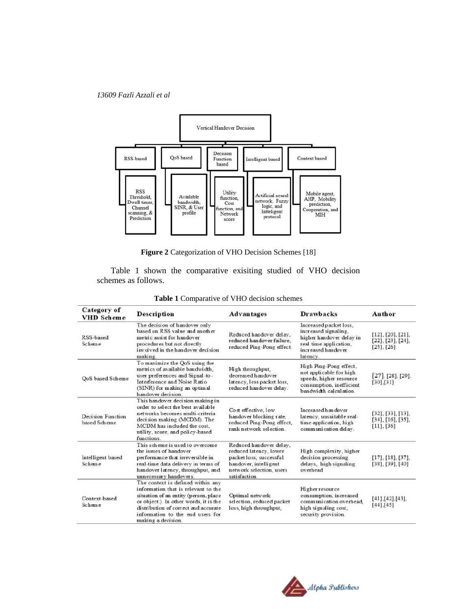

**Figure 2** Categorization of VHO Decision Schemes [18]

Table 1 shown the comparative exisiting studied of VHO decision schemes as follows.

| Category of<br>VHD Scheme                                                                                                                                                                           | <b>Description</b>                                                                                                                                                                                                                                                                           | <b>Advantages</b>                                                                                                                                 | <b>Drawbacks</b>                                                                                                                      | Author                                                                      |  |
|-----------------------------------------------------------------------------------------------------------------------------------------------------------------------------------------------------|----------------------------------------------------------------------------------------------------------------------------------------------------------------------------------------------------------------------------------------------------------------------------------------------|---------------------------------------------------------------------------------------------------------------------------------------------------|---------------------------------------------------------------------------------------------------------------------------------------|-----------------------------------------------------------------------------|--|
| The decision of handover only<br>based on RSS value and another<br>RSS-based<br>metric assist for handover<br>Scheme<br>procedures but not directly<br>involved in the handover decision<br>making. |                                                                                                                                                                                                                                                                                              | Reduced handover delay.<br>reduced handover failure.<br>reduced Ping-Pong effect.                                                                 | Increased packet loss.<br>increased signaling,<br>higher handover delay in<br>real time application.<br>increased handover<br>latency | $[12]$ , $[20]$ , $[21]$ ,<br>$[22]$ , $[23]$ , $[24]$ ,<br>$[25]$ , $[26]$ |  |
| QoS based Scheme                                                                                                                                                                                    | To maximize the QoS using the<br>metrics of available bandwidth.<br>High throughput.<br>decreased handover<br>user preferences and Signal-to-<br>Interference and Noise Ratio<br>latency, less packet loss,<br>(SINR) for making an optimal<br>reduced handover delay.<br>handover decision. |                                                                                                                                                   | High Ping-Pong effect.<br>not applicable for high<br>speeds, higher resource<br>consumption, inefficient<br>bandwidth calculation.    | $[27]$ , $[28]$ , $[29]$ ,<br>[30],[31]                                     |  |
| Decision Function<br>based Scheme                                                                                                                                                                   | This handover decision making in<br>order to select the best available.<br>networks becomes multi-criteria<br>decision making (MCDM). The<br>MCDM has included the cost.<br>utility, score, and policy-based<br>functions.                                                                   | Cost effective, low<br>handover blocking rate,<br>reduced Ping-Pong effect,<br>rank network selection.                                            | Increased handover<br>latency, unsuitable real-<br>time application, high<br>communication delay.                                     | [32], [33], [13],<br>$[34]$ , $[16]$ , $[35]$ ,<br>$[11]$ , $[36]$          |  |
| Intelligent based<br>Scheme                                                                                                                                                                         | This scheme is used to overcome<br>the issues of handover<br>performance that irreversible in<br>real-time data delivery in terms of<br>handover latency, throughput, and<br>unnecessary handovers.                                                                                          | Reduced handover delay,<br>reduced latency, lower<br>packet loss, successful<br>handover, intelligent<br>network selection, users<br>satisfaction | High complexity, higher<br>decision processing<br>delays, high signaling<br>overhead                                                  | [17], [18], [37],<br>[38], [39], [40]                                       |  |
| Context-based<br>Scheme                                                                                                                                                                             | The context is defined within any<br>information that is relevant to the<br>situation of an entity (person, place<br>or object.). In other words, it is the<br>distribution of correct and accurate<br>information to the end users for<br>making a decision.                                |                                                                                                                                                   | Higher resource<br>consumption, increased<br>communication overhead.<br>high signaling cost,<br>security provision.                   | $[41]$ , $[42]$ , $[43]$ ,<br>$[44]$ , [45]                                 |  |

#### **Table 1** Comparative of VHO decision schemes

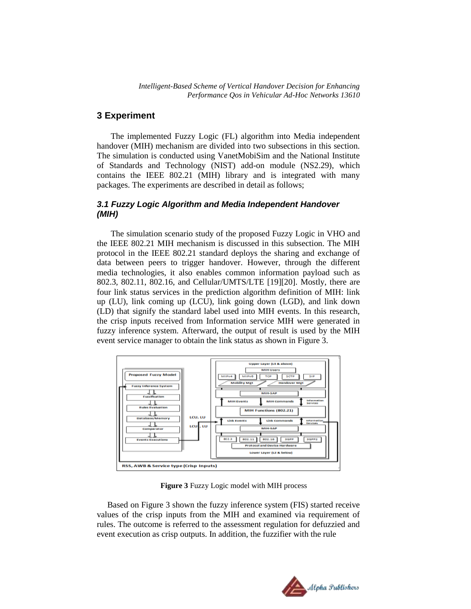## **3 Experiment**

The implemented Fuzzy Logic (FL) algorithm into Media independent handover (MIH) mechanism are divided into two subsections in this section. The simulation is conducted using VanetMobiSim and the National Institute of Standards and Technology (NIST) add-on module (NS2.29), which contains the IEEE 802.21 (MIH) library and is integrated with many packages. The experiments are described in detail as follows;

#### *3.1 Fuzzy Logic Algorithm and Media Independent Handover (MIH)*

The simulation scenario study of the proposed Fuzzy Logic in VHO and the IEEE 802.21 MIH mechanism is discussed in this subsection. The MIH protocol in the IEEE 802.21 standard deploys the sharing and exchange of data between peers to trigger handover. However, through the different media technologies, it also enables common information payload such as 802.3, 802.11, 802.16, and Cellular/UMTS/LTE [19][20]. Mostly, there are four link status services in the prediction algorithm definition of MIH: link up (LU), link coming up (LCU), link going down (LGD), and link down (LD) that signify the standard label used into MIH events. In this research, the crisp inputs received from Information service MIH were generated in fuzzy inference system. Afterward, the output of result is used by the MIH event service manager to obtain the link status as shown in Figure 3.



**Figure 3** Fuzzy Logic model with MIH process

Based on Figure 3 shown the fuzzy inference system (FIS) started receive values of the crisp inputs from the MIH and examined via requirement of rules. The outcome is referred to the assessment regulation for defuzzied and event execution as crisp outputs. In addition, the fuzzifier with the rule

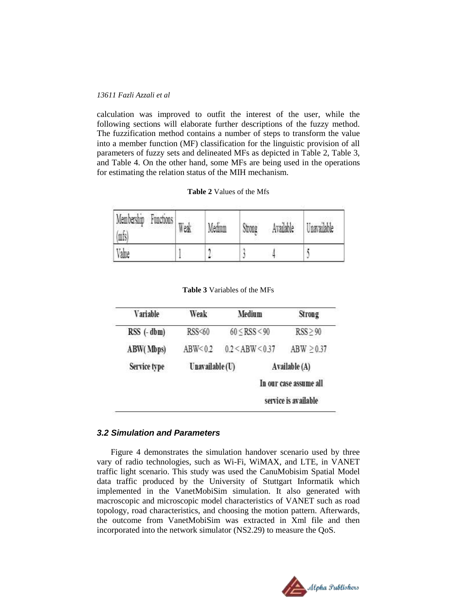calculation was improved to outfit the interest of the user, while the following sections will elaborate further descriptions of the fuzzy method. The fuzzification method contains a number of steps to transform the value into a member function (MF) classification for the linguistic provision of all parameters of fuzzy sets and delineated MFs as depicted in Table 2, Table 3, and Table 4. On the other hand, some MFs are being used in the operations for estimating the relation status of the MIH mechanism.

#### **Table 2** Values of the Mfs

| Membership<br>Functions<br>(mfs) | Weak | Medium | Strong | Available | Taavailable |
|----------------------------------|------|--------|--------|-----------|-------------|
| Value                            |      |        |        |           |             |

**Table 3** Variables of the MFs

| Variable     | Weak           | Medium             |  | <b>Strong</b>          |  |
|--------------|----------------|--------------------|--|------------------------|--|
| $RSS(-dbm)$  | RSS<60         | $60 \leq$ RSS < 90 |  | $RSS \geq 90$          |  |
| ABW(Mbps)    | ABW < 0.2      | 0.2 < ABW < 0.37   |  | ABW > 0.37             |  |
| Service type | Unavailable(U) |                    |  | Available (A)          |  |
|              |                |                    |  | In our case assume all |  |
|              |                |                    |  | service is available   |  |

#### *3.2 Simulation and Parameters*

Figure 4 demonstrates the simulation handover scenario used by three vary of radio technologies, such as Wi-Fi, WiMAX, and LTE, in VANET traffic light scenario. This study was used the CanuMobisim Spatial Model data traffic produced by the University of Stuttgart Informatik which implemented in the VanetMobiSim simulation. It also generated with macroscopic and microscopic model characteristics of VANET such as road topology, road characteristics, and choosing the motion pattern. Afterwards, the outcome from VanetMobiSim was extracted in Xml file and then incorporated into the network simulator (NS2.29) to measure the QoS.

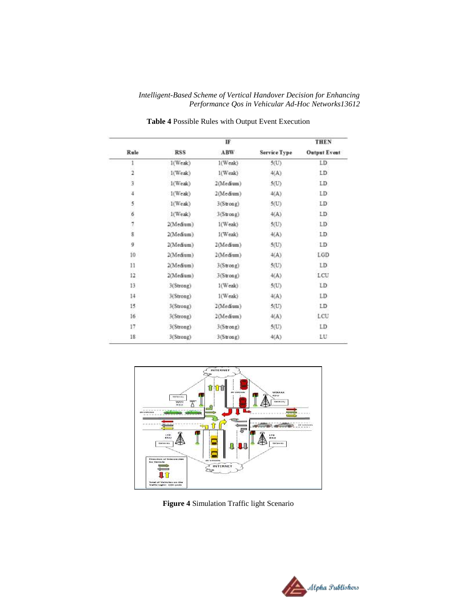|                 |            | IF         |                     | THEN                |
|-----------------|------------|------------|---------------------|---------------------|
| Rule            | <b>RSS</b> | ABW        | <b>Service Type</b> | <b>Output Event</b> |
| 1               | $1$ (Weak) | $1$ (Weak) | 5(U)                | LD                  |
| 1               | 1(Weak)    | 1(Weak)    | 4(A)                | LD                  |
| 3               | 1(Weak)    | 2(Medium)  | 5 <sub>U</sub>      | LD                  |
| 4               | $1$ (Weak) | 2(Medium)  | 4(A)                | LD:                 |
| 5               | $1$ (Weak) | 3(String)  | 5(U)                | LD                  |
|                 | 1(Weak)    | 3(Strong)  | 4(A)                | LD                  |
| $\frac{6}{7}$   | 2(Medium)  | 1(Weak)    | 5(U)                | LD.                 |
| $\overline{8}$  | 2(Medium)  | I(Weak)    | 4(A)                | LD                  |
| 9               | 2(Medium)  | 2(Medium)  | 5(U)                | LD                  |
| 10              | 2(Medium)  | 2(Medium)  | 4(A)                | LGD                 |
| 11              | 2(Medium)  | 3(Strong)  | 5(U)                | LD                  |
| 12              | 2(Medium)  | 3(String)  | 4(A)                | LCU                 |
| 13              | 3(Strong)  | $1$ (Weak) | 5(U)                | LD                  |
| 14              | 3(Strong)  | 1(Weak)    | 4(A)                | LD.                 |
| 15              | 3(Strong)  | 2(Medium)  | 5(U)                | LD                  |
| 16 <sub>1</sub> | 3(Strong)  | 2(Medium)  | 4(A)                | LCU                 |
| 17              | 3(Strong)  | 3(Strong)  | 5(U)                | LD                  |
| 18              | 3(Strong)  | 3(Strong)  | 4(A)                | LU                  |

**Table 4** Possible Rules with Output Event Execution



**Figure 4** Simulation Traffic light Scenario

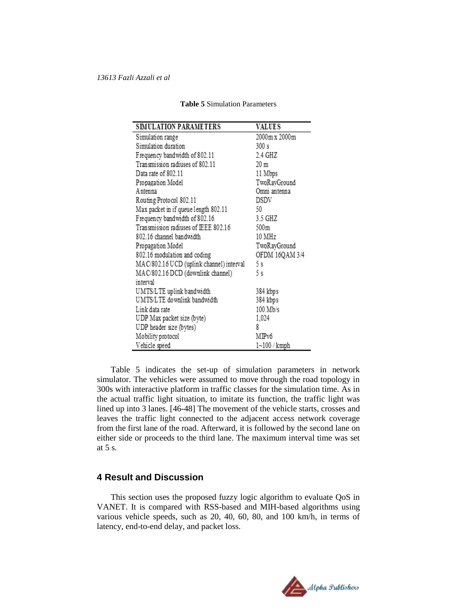| <b>SIMULATION PARAMETERS</b>             | <b>VALUES</b>  |
|------------------------------------------|----------------|
| Simulation range                         | 2000m x 2000m  |
| Simulation duration                      | 300 s          |
| Frequency bandwidth of 802.11            | 2.4 GHZ        |
| Transmission radiuses of 802.11          | 20 m           |
| Data rate of 802.11                      | 11 Mbps        |
| Propagation Model                        | TwoRayGround   |
| A ntenna                                 | Omni antenna   |
| Routing Protocol 802.11                  | DSDV           |
| Max packet in if queue length 802.11     | 50             |
| Frequency bandwidth of 802.16            | 3.5 GHZ        |
| Transmission radiuses of IEEE 802.16     | 500m           |
| 802.16 channel bandwidth                 | 10 MHz         |
| Propagation Model                        | TwoRayGround   |
| 802.16 modulation and coding             | OFDM 16QAM 3/4 |
| MAC/802.16 UCD (uplink channel) interval | 5s             |
| MAC/802.16 DCD (downlink channel)        | 5s             |
| interval                                 |                |
| UMTS/LTE uplink bandwidth                | 384 kbps       |
| UMTS/LTE downlink bandwidth              | 384 kbps       |
| Link data rate                           | 100 Mb/s       |
| UDP Max packet size (byte)               | 1,024          |
| UDP header size (bytes)                  | 8              |
| Mobility protocol                        | MIPv6          |
| Vehicle speed                            | 1~100 / kmph   |

#### **Table 5** Simulation Parameters

Table 5 indicates the set-up of simulation parameters in network simulator. The vehicles were assumed to move through the road topology in 300s with interactive platform in traffic classes for the simulation time. As in the actual traffic light situation, to imitate its function, the traffic light was lined up into 3 lanes. [46-48] The movement of the vehicle starts, crosses and leaves the traffic light connected to the adjacent access network coverage from the first lane of the road. Afterward, it is followed by the second lane on either side or proceeds to the third lane. The maximum interval time was set at 5 s.

## **4 Result and Discussion**

This section uses the proposed fuzzy logic algorithm to evaluate QoS in VANET. It is compared with RSS-based and MIH-based algorithms using various vehicle speeds, such as 20, 40, 60, 80, and 100 km/h, in terms of latency, end-to-end delay, and packet loss.

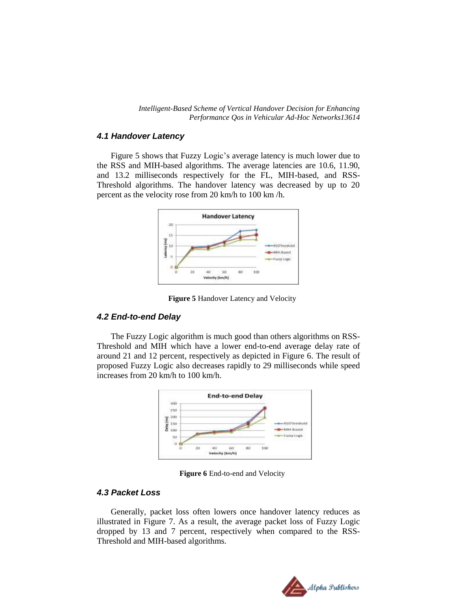#### *4.1 Handover Latency*

Figure 5 shows that Fuzzy Logic's average latency is much lower due to the RSS and MIH-based algorithms. The average latencies are 10.6, 11.90, and 13.2 milliseconds respectively for the FL, MIH-based, and RSS-Threshold algorithms. The handover latency was decreased by up to 20 percent as the velocity rose from 20 km/h to 100 km /h.



**Figure 5** Handover Latency and Velocity

#### *4.2 End-to-end Delay*

The Fuzzy Logic algorithm is much good than others algorithms on RSS-Threshold and MIH which have a lower end-to-end average delay rate of around 21 and 12 percent, respectively as depicted in Figure 6. The result of proposed Fuzzy Logic also decreases rapidly to 29 milliseconds while speed increases from 20 km/h to 100 km/h.



**Figure 6** End-to-end and Velocity

## *4.3 Packet Loss*

Generally, packet loss often lowers once handover latency reduces as illustrated in Figure 7. As a result, the average packet loss of Fuzzy Logic dropped by 13 and 7 percent, respectively when compared to the RSS-Threshold and MIH-based algorithms.

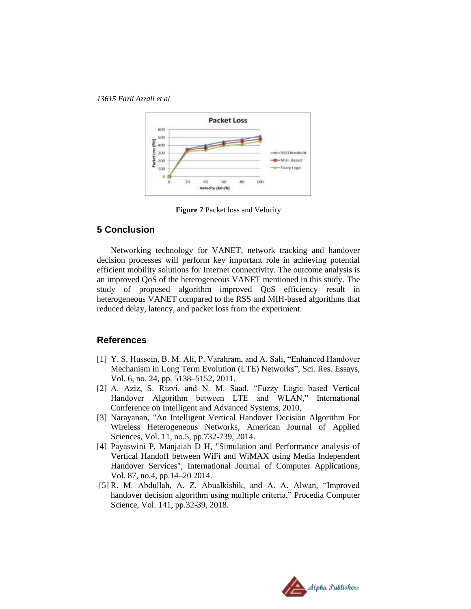

**Figure 7** Packet loss and Velocity

## **5 Conclusion**

Networking technology for VANET, network tracking and handover decision processes will perform key important role in achieving potential efficient mobility solutions for Internet connectivity. The outcome analysis is an improved QoS of the heterogeneous VANET mentioned in this study. The study of proposed algorithm improved QoS efficiency result in heterogeneous VANET compared to the RSS and MIH-based algorithms that reduced delay, latency, and packet loss from the experiment.

## **References**

- [1] Y. S. Hussein, B. M. Ali, P. Varahram, and A. Sali, "Enhanced Handover Mechanism in Long Term Evolution (LTE) Networks", Sci. Res. Essays, Vol. 6, no. 24, pp. 5138–5152, 2011.
- [2] A. Aziz, S. Rizvi, and N. M. Saad, "Fuzzy Logic based Vertical Handover Algorithm between LTE and WLAN," International Conference on Intelligent and Advanced Systems, 2010,
- [3] Narayanan, "An Intelligent Vertical Handover Decision Algorithm For Wireless Heterogeneous Networks, American Journal of Applied Sciences, Vol. 11, no.5, pp.732-739, 2014.
- [4] Payaswini P, Manjaiah D H, "Simulation and Performance analysis of Vertical Handoff between WiFi and WiMAX using Media Independent Handover Services", International Journal of Computer Applications, Vol. 87, no.4, pp.14–20 2014.
- [5] R. M. Abdullah, A. Z. Abualkishik, and A. A. Alwan, "Improved handover decision algorithm using multiple criteria," Procedia Computer Science, Vol. 141, pp.32-39, 2018.

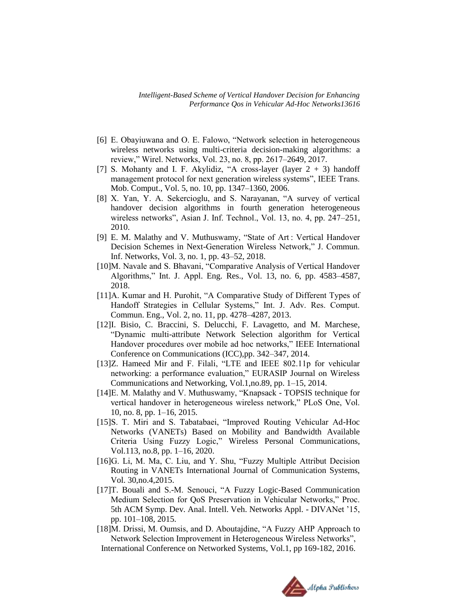- [6] E. Obayiuwana and O. E. Falowo, "Network selection in heterogeneous wireless networks using multi-criteria decision-making algorithms: a review," Wirel. Networks, Vol. 23, no. 8, pp. 2617–2649, 2017.
- [7] S. Mohanty and I. F. Akylidiz, "A cross-layer (layer  $2 + 3$ ) handoff management protocol for next generation wireless systems", IEEE Trans. Mob. Comput., Vol. 5, no. 10, pp. 1347–1360, 2006.
- [8] X. Yan, Y. A. Sekercioglu, and S. Narayanan, "A survey of vertical handover decision algorithms in fourth generation heterogeneous wireless networks", Asian J. Inf. Technol., Vol. 13, no. 4, pp. 247–251, 2010.
- [9] E. M. Malathy and V. Muthuswamy, "State of Art : Vertical Handover Decision Schemes in Next-Generation Wireless Network," J. Commun. Inf. Networks, Vol. 3, no. 1, pp. 43–52, 2018.
- [10]M. Navale and S. Bhavani, "Comparative Analysis of Vertical Handover Algorithms," Int. J. Appl. Eng. Res., Vol. 13, no. 6, pp. 4583–4587, 2018.
- [11]A. Kumar and H. Purohit, "A Comparative Study of Different Types of Handoff Strategies in Cellular Systems," Int. J. Adv. Res. Comput. Commun. Eng., Vol. 2, no. 11, pp. 4278–4287, 2013.
- [12]I. Bisio, C. Braccini, S. Delucchi, F. Lavagetto, and M. Marchese, "Dynamic multi-attribute Network Selection algorithm for Vertical Handover procedures over mobile ad hoc networks," IEEE International Conference on Communications (ICC),pp. 342–347, 2014.
- [13]Z. Hameed Mir and F. Filali, "LTE and IEEE 802.11p for vehicular networking: a performance evaluation," EURASIP Journal on Wireless Communications and Networking, Vol.1,no.89, pp. 1–15, 2014.
- [14]E. M. Malathy and V. Muthuswamy, "Knapsack TOPSIS technique for vertical handover in heterogeneous wireless network," PLoS One, Vol. 10, no. 8, pp. 1–16, 2015.
- [15]S. T. Miri and S. Tabatabaei, "Improved Routing Vehicular Ad-Hoc Networks (VANETs) Based on Mobility and Bandwidth Available Criteria Using Fuzzy Logic," Wireless Personal Communications, Vol.113, no.8, pp. 1–16, 2020.
- [16]G. Li, M. Ma, C. Liu, and Y. Shu, "Fuzzy Multiple Attribut Decision Routing in VANETs International Journal of Communication Systems, Vol. 30,no.4,2015.
- [17]T. Bouali and S.-M. Senouci, "A Fuzzy Logic-Based Communication Medium Selection for QoS Preservation in Vehicular Networks," Proc. 5th ACM Symp. Dev. Anal. Intell. Veh. Networks Appl. - DIVANet '15, pp. 101–108, 2015.
- [18]M. Drissi, M. Oumsis, and D. Aboutajdine, "A Fuzzy AHP Approach to Network Selection Improvement in Heterogeneous Wireless Networks", International Conference on Networked Systems, Vol.1, pp 169-182, 2016.

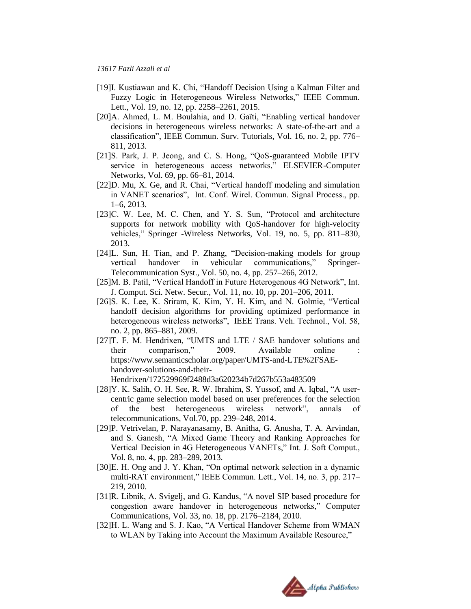- [19]I. Kustiawan and K. Chi, "Handoff Decision Using a Kalman Filter and Fuzzy Logic in Heterogeneous Wireless Networks," IEEE Commun. Lett., Vol. 19, no. 12, pp. 2258–2261, 2015.
- [20]A. Ahmed, L. M. Boulahia, and D. Gaïti, "Enabling vertical handover decisions in heterogeneous wireless networks: A state-of-the-art and a classification", IEEE Commun. Surv. Tutorials, Vol. 16, no. 2, pp. 776– 811, 2013.
- [21]S. Park, J. P. Jeong, and C. S. Hong, "QoS-guaranteed Mobile IPTV service in heterogeneous access networks," ELSEVIER-Computer Networks, Vol. 69, pp. 66–81, 2014.
- [22]D. Mu, X. Ge, and R. Chai, "Vertical handoff modeling and simulation in VANET scenarios", Int. Conf. Wirel. Commun. Signal Process., pp. 1–6, 2013.
- [23]C. W. Lee, M. C. Chen, and Y. S. Sun, "Protocol and architecture supports for network mobility with QoS-handover for high-velocity vehicles," Springer -Wireless Networks, Vol. 19, no. 5, pp. 811–830, 2013.
- [24]L. Sun, H. Tian, and P. Zhang, "Decision-making models for group vertical handover in vehicular communications," Springer-Telecommunication Syst., Vol. 50, no. 4, pp. 257–266, 2012.
- [25]M. B. Patil, "Vertical Handoff in Future Heterogenous 4G Network", Int. J. Comput. Sci. Netw. Secur., Vol. 11, no. 10, pp. 201–206, 2011.
- [26]S. K. Lee, K. Sriram, K. Kim, Y. H. Kim, and N. Golmie, "Vertical handoff decision algorithms for providing optimized performance in heterogeneous wireless networks", IEEE Trans. Veh. Technol., Vol. 58, no. 2, pp. 865–881, 2009.
- [27]T. F. M. Hendrixen, "UMTS and LTE / SAE handover solutions and their comparison," 2009. Available online : https://www.semanticscholar.org/paper/UMTS-and-LTE%2FSAEhandover-solutions-and-their-Hendrixen/172529969f2488d3a620234b7d267b553a483509
- [28]Y. K. Salih, O. H. See, R. W. Ibrahim, S. Yussof, and A. Iqbal, "A usercentric game selection model based on user preferences for the selection of the best heterogeneous wireless network", annals of telecommunications, Vol.70, pp. 239–248, 2014.
- [29]P. Vetrivelan, P. Narayanasamy, B. Anitha, G. Anusha, T. A. Arvindan, and S. Ganesh, "A Mixed Game Theory and Ranking Approaches for Vertical Decision in 4G Heterogeneous VANETs," Int. J. Soft Comput., Vol. 8, no. 4, pp. 283–289, 2013.
- [30]E. H. Ong and J. Y. Khan, "On optimal network selection in a dynamic multi-RAT environment," IEEE Commun. Lett., Vol. 14, no. 3, pp. 217– 219, 2010.
- [31]R. Libnik, A. Svigelj, and G. Kandus, "A novel SIP based procedure for congestion aware handover in heterogeneous networks," Computer Communications, Vol. 33, no. 18, pp. 2176–2184, 2010.
- [32]H. L. Wang and S. J. Kao, "A Vertical Handover Scheme from WMAN to WLAN by Taking into Account the Maximum Available Resource,"

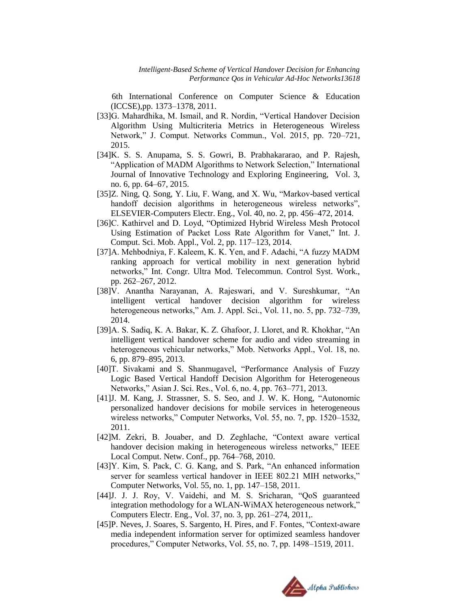6th International Conference on Computer Science & Education (ICCSE),pp. 1373–1378, 2011.

- [33]G. Mahardhika, M. Ismail, and R. Nordin, "Vertical Handover Decision Algorithm Using Multicriteria Metrics in Heterogeneous Wireless Network," J. Comput. Networks Commun., Vol. 2015, pp. 720–721, 2015.
- [34]K. S. S. Anupama, S. S. Gowri, B. Prabhakararao, and P. Rajesh, "Application of MADM Algorithms to Network Selection," International Journal of Innovative Technology and Exploring Engineering, Vol. 3, no. 6, pp. 64–67, 2015.
- [35]Z. Ning, Q. Song, Y. Liu, F. Wang, and X. Wu, "Markov-based vertical handoff decision algorithms in heterogeneous wireless networks", ELSEVIER-Computers Electr. Eng., Vol. 40, no. 2, pp. 456–472, 2014.
- [36]C. Kathirvel and D. Loyd, "Optimized Hybrid Wireless Mesh Protocol Using Estimation of Packet Loss Rate Algorithm for Vanet," Int. J. Comput. Sci. Mob. Appl., Vol. 2, pp. 117–123, 2014.
- [37]A. Mehbodniya, F. Kaleem, K. K. Yen, and F. Adachi, "A fuzzy MADM ranking approach for vertical mobility in next generation hybrid networks," Int. Congr. Ultra Mod. Telecommun. Control Syst. Work., pp. 262–267, 2012.
- [38]V. Anantha Narayanan, A. Rajeswari, and V. Sureshkumar, "An intelligent vertical handover decision algorithm for wireless heterogeneous networks," Am. J. Appl. Sci., Vol. 11, no. 5, pp. 732–739, 2014.
- [39]A. S. Sadiq, K. A. Bakar, K. Z. Ghafoor, J. Lloret, and R. Khokhar, "An intelligent vertical handover scheme for audio and video streaming in heterogeneous vehicular networks," Mob. Networks Appl., Vol. 18, no. 6, pp. 879–895, 2013.
- [40]T. Sivakami and S. Shanmugavel, "Performance Analysis of Fuzzy Logic Based Vertical Handoff Decision Algorithm for Heterogeneous Networks," Asian J. Sci. Res., Vol. 6, no. 4, pp. 763–771, 2013.
- [41]J. M. Kang, J. Strassner, S. S. Seo, and J. W. K. Hong, "Autonomic personalized handover decisions for mobile services in heterogeneous wireless networks," Computer Networks, Vol. 55, no. 7, pp. 1520–1532, 2011.
- [42]M. Zekri, B. Jouaber, and D. Zeghlache, "Context aware vertical handover decision making in heterogeneous wireless networks," IEEE Local Comput. Netw. Conf., pp. 764–768, 2010.
- [43]Y. Kim, S. Pack, C. G. Kang, and S. Park, "An enhanced information server for seamless vertical handover in IEEE 802.21 MIH networks," Computer Networks, Vol. 55, no. 1, pp. 147–158, 2011.
- [44]J. J. J. Roy, V. Vaidehi, and M. S. Sricharan, "QoS guaranteed integration methodology for a WLAN-WiMAX heterogeneous network," Computers Electr. Eng., Vol. 37, no. 3, pp. 261–274, 2011,.
- [45]P. Neves, J. Soares, S. Sargento, H. Pires, and F. Fontes, "Context-aware media independent information server for optimized seamless handover procedures," Computer Networks, Vol. 55, no. 7, pp. 1498–1519, 2011.

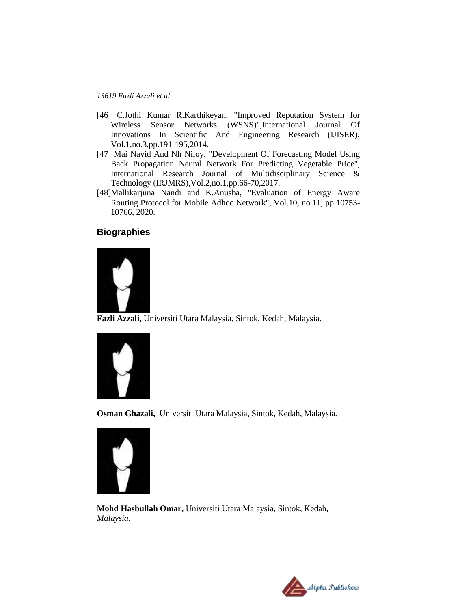- [46] C.Jothi Kumar R.Karthikeyan, "Improved Reputation System for Wireless Sensor Networks (WSNS)",International Journal Of Innovations In Scientific And Engineering Research (IJISER), Vol.1,no.3,pp.191-195,2014.
- [47] Mai Navid And Nh Niloy, "Development Of Forecasting Model Using Back Propagation Neural Network For Predicting Vegetable Price", International Research Journal of Multidisciplinary Science & Technology (IRJMRS),Vol.2,no.1,pp.66-70,2017.
- [48]Mallikarjuna Nandi and K.Anusha, "Evaluation of Energy Aware Routing Protocol for Mobile Adhoc Network", Vol.10, no.11, pp.10753- 10766, 2020.

## **Biographies**



**Fazli Azzali,** Universiti Utara Malaysia, Sintok, Kedah, Malaysia.



**Osman Ghazali,** Universiti Utara Malaysia, Sintok, Kedah, Malaysia*.*



**Mohd Hasbullah Omar,** Universiti Utara Malaysia, Sintok, Kedah, *Malaysia.*